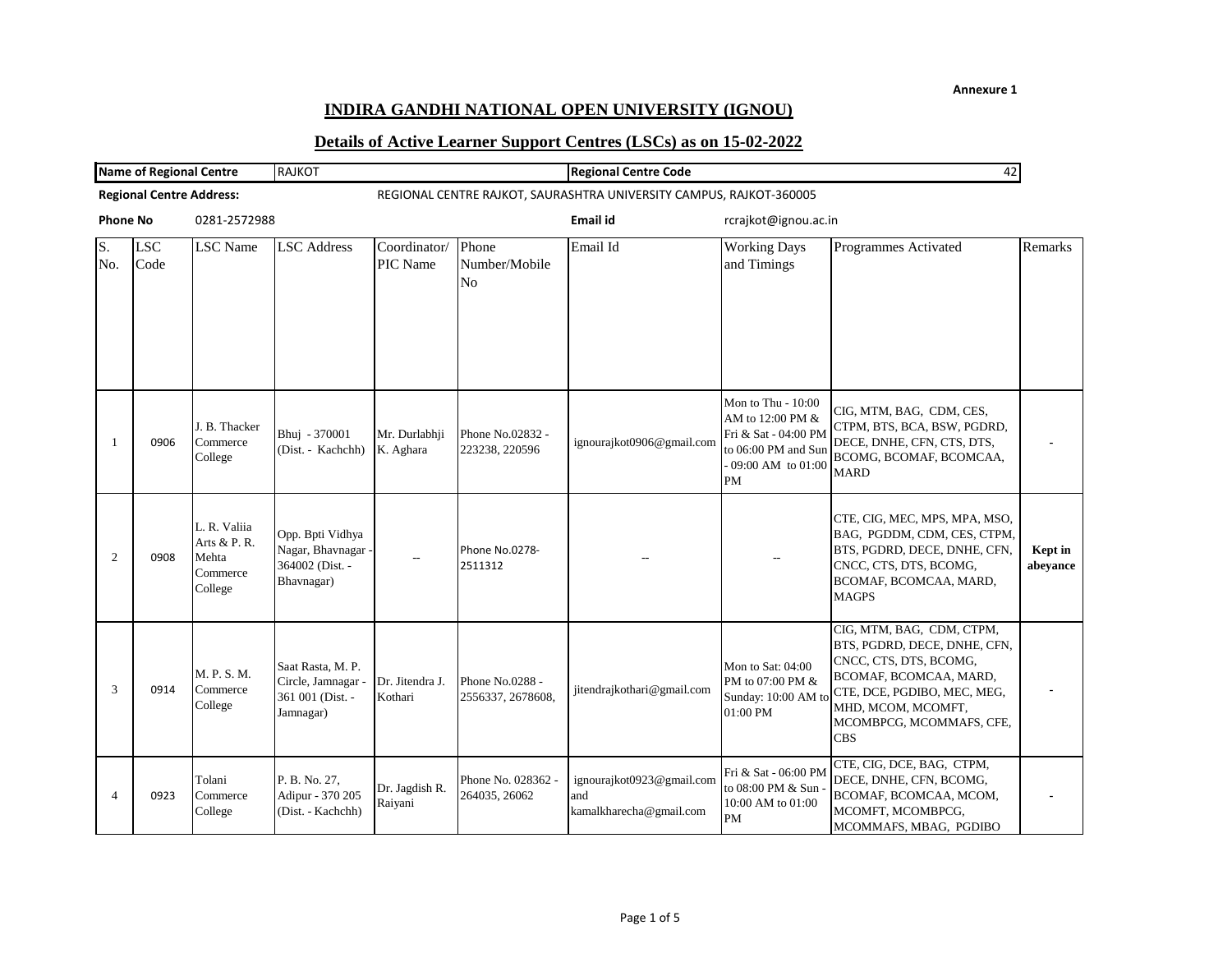## **INDIRA GANDHI NATIONAL OPEN UNIVERSITY (IGNOU)**

| <b>Name of Regional Centre</b> |                                 | <b>RAJKOT</b>                                                |                                                                         |                            | <b>Regional Centre Code</b><br>42        |                                                             |                                                                                                                           |                                                                                                                                                                                                              |                     |
|--------------------------------|---------------------------------|--------------------------------------------------------------|-------------------------------------------------------------------------|----------------------------|------------------------------------------|-------------------------------------------------------------|---------------------------------------------------------------------------------------------------------------------------|--------------------------------------------------------------------------------------------------------------------------------------------------------------------------------------------------------------|---------------------|
|                                | <b>Regional Centre Address:</b> |                                                              | REGIONAL CENTRE RAJKOT, SAURASHTRA UNIVERSITY CAMPUS, RAJKOT-360005     |                            |                                          |                                                             |                                                                                                                           |                                                                                                                                                                                                              |                     |
| <b>Phone No</b>                |                                 | 0281-2572988                                                 |                                                                         |                            |                                          | Email id                                                    | rcrajkot@ignou.ac.in                                                                                                      |                                                                                                                                                                                                              |                     |
| S.<br>No.                      | <b>LSC</b><br>Code              | <b>LSC</b> Name                                              | <b>LSC</b> Address                                                      | Coordinator/<br>PIC Name   | Phone<br>Number/Mobile<br>N <sub>o</sub> | Email Id                                                    | <b>Working Days</b><br>and Timings                                                                                        | Programmes Activated                                                                                                                                                                                         | Remarks             |
| -1                             | 0906                            | J. B. Thacker<br>Commerce<br>College                         | Bhuj - 370001<br>(Dist. - Kachchh)                                      | Mr. Durlabhji<br>K. Aghara | Phone No.02832 -<br>223238, 220596       | ignourajkot0906@gmail.com                                   | Mon to Thu - 10:00<br>AM to 12:00 PM &<br>Fri & Sat - 04:00 PM<br>to 06:00 PM and Sun<br>- 09:00 AM to 01:00<br><b>PM</b> | CIG, MTM, BAG, CDM, CES,<br>CTPM, BTS, BCA, BSW, PGDRD,<br>DECE, DNHE, CFN, CTS, DTS,<br>BCOMG, BCOMAF, BCOMCAA,<br><b>MARD</b>                                                                              |                     |
| 2                              | 0908                            | L. R. Valiia<br>Arts & P. R.<br>Mehta<br>Commerce<br>College | Opp. Bpti Vidhya<br>Nagar, Bhavnagar -<br>364002 (Dist. -<br>Bhavnagar) |                            | Phone No.0278-<br>2511312                |                                                             |                                                                                                                           | CTE, CIG, MEC, MPS, MPA, MSO,<br>BAG, PGDDM, CDM, CES, CTPM,<br>BTS, PGDRD, DECE, DNHE, CFN,<br>CNCC, CTS, DTS, BCOMG,<br>BCOMAF, BCOMCAA, MARD,<br><b>MAGPS</b>                                             | Kept in<br>abeyance |
| 3                              | 0914                            | M. P. S. M.<br>Commerce<br>College                           | Saat Rasta, M. P.<br>Circle, Jamnagar<br>361 001 (Dist. -<br>Jamnagar)  | Dr. Jitendra J.<br>Kothari | Phone No.0288 -<br>2556337, 2678608,     | jitendrajkothari@gmail.com                                  | Mon to Sat: 04:00<br>PM to 07:00 PM &<br>Sunday: 10:00 AM to<br>01:00 PM                                                  | CIG, MTM, BAG, CDM, CTPM,<br>BTS, PGDRD, DECE, DNHE, CFN,<br>CNCC, CTS, DTS, BCOMG,<br>BCOMAF, BCOMCAA, MARD,<br>CTE, DCE, PGDIBO, MEC, MEG,<br>MHD, MCOM, MCOMFT,<br>MCOMBPCG, MCOMMAFS, CFE,<br><b>CBS</b> |                     |
| $\overline{4}$                 | 0923                            | Tolani<br>Commerce<br>College                                | P. B. No. 27,<br>Adipur - 370 205<br>(Dist. - Kachchh)                  | Dr. Jagdish R.<br>Raiyani  | Phone No. 028362 -<br>264035, 26062      | ignourajkot0923@gmail.com<br>and<br>kamalkharecha@gmail.com | Fri & Sat - 06:00 PM<br>to 08:00 PM & Sun -<br>10:00 AM to 01:00<br><b>PM</b>                                             | CTE, CIG, DCE, BAG, CTPM,<br>DECE, DNHE, CFN, BCOMG,<br>BCOMAF, BCOMCAA, MCOM,<br>MCOMFT, MCOMBPCG,<br>MCOMMAFS, MBAG, PGDIBO                                                                                |                     |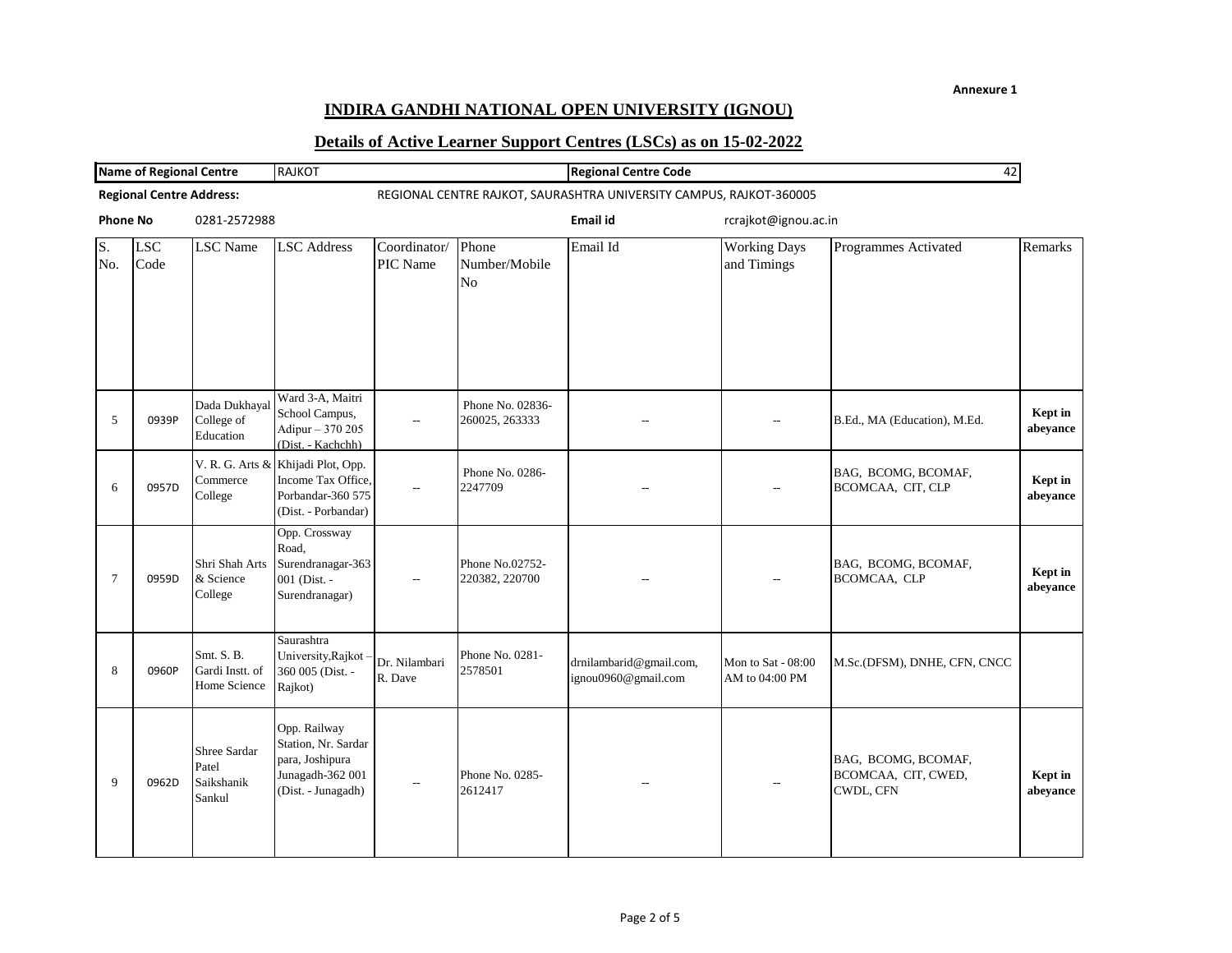## **INDIRA GANDHI NATIONAL OPEN UNIVERSITY (IGNOU)**

| <b>Name of Regional Centre</b>  |                    | <b>RAJKOT</b>                                 | 42                                                                                               |                          |                                    |                                                                     |                                      |                                                         |                     |
|---------------------------------|--------------------|-----------------------------------------------|--------------------------------------------------------------------------------------------------|--------------------------|------------------------------------|---------------------------------------------------------------------|--------------------------------------|---------------------------------------------------------|---------------------|
| <b>Regional Centre Address:</b> |                    |                                               |                                                                                                  |                          |                                    | REGIONAL CENTRE RAJKOT, SAURASHTRA UNIVERSITY CAMPUS, RAJKOT-360005 |                                      |                                                         |                     |
| <b>Phone No</b>                 |                    | 0281-2572988                                  |                                                                                                  |                          |                                    | Email id                                                            | rcrajkot@ignou.ac.in                 |                                                         |                     |
| S.<br>No.                       | <b>LSC</b><br>Code | <b>LSC</b> Name                               | <b>LSC</b> Address                                                                               | Coordinator/<br>PIC Name | Phone<br>Number/Mobile<br>No       | Email Id                                                            | <b>Working Days</b><br>and Timings   | Programmes Activated                                    | Remarks             |
| 5                               | 0939P              | Dada Dukhayal<br>College of<br>Education      | Ward 3-A, Maitri<br>School Campus,<br>Adipur - 370 205<br>(Dist. - Kachchh)                      | --                       | Phone No. 02836-<br>260025, 263333 |                                                                     | $\overline{a}$                       | B.Ed., MA (Education), M.Ed.                            | Kept in<br>abeyance |
| 6                               | 0957D              | V. R. G. Arts &<br>Commerce<br>College        | Khijadi Plot, Opp.<br>Income Tax Office,<br>Porbandar-360 575<br>(Dist. - Porbandar)             |                          | Phone No. 0286-<br>2247709         |                                                                     |                                      | BAG, BCOMG, BCOMAF,<br>BCOMCAA, CIT, CLP                | Kept in<br>abeyance |
| 7                               | 0959D              | Shri Shah Arts<br>& Science<br>College        | Opp. Crossway<br>Road,<br>Surendranagar-363<br>001 (Dist. -<br>Surendranagar)                    |                          | Phone No.02752-<br>220382, 220700  |                                                                     |                                      | BAG, BCOMG, BCOMAF,<br>BCOMCAA, CLP                     | Kept in<br>abeyance |
| 8                               | 0960P              | Smt. S. B.<br>Gardi Instt. of<br>Home Science | Saurashtra<br>University, Rajkot<br>360 005 (Dist. -<br>Rajkot)                                  | Dr. Nilambari<br>R. Dave | Phone No. 0281-<br>2578501         | drnilambarid@gmail.com,<br>ignou0960@gmail.com                      | Mon to Sat - 08:00<br>AM to 04:00 PM | M.Sc.(DFSM), DNHE, CFN, CNCC                            |                     |
| 9                               | 0962D              | Shree Sardar<br>Patel<br>Saikshanik<br>Sankul | Opp. Railway<br>Station, Nr. Sardar<br>para, Joshipura<br>Junagadh-362 001<br>(Dist. - Junagadh) |                          | Phone No. 0285-<br>2612417         |                                                                     |                                      | BAG, BCOMG, BCOMAF,<br>BCOMCAA, CIT, CWED,<br>CWDL, CFN | Kept in<br>abeyance |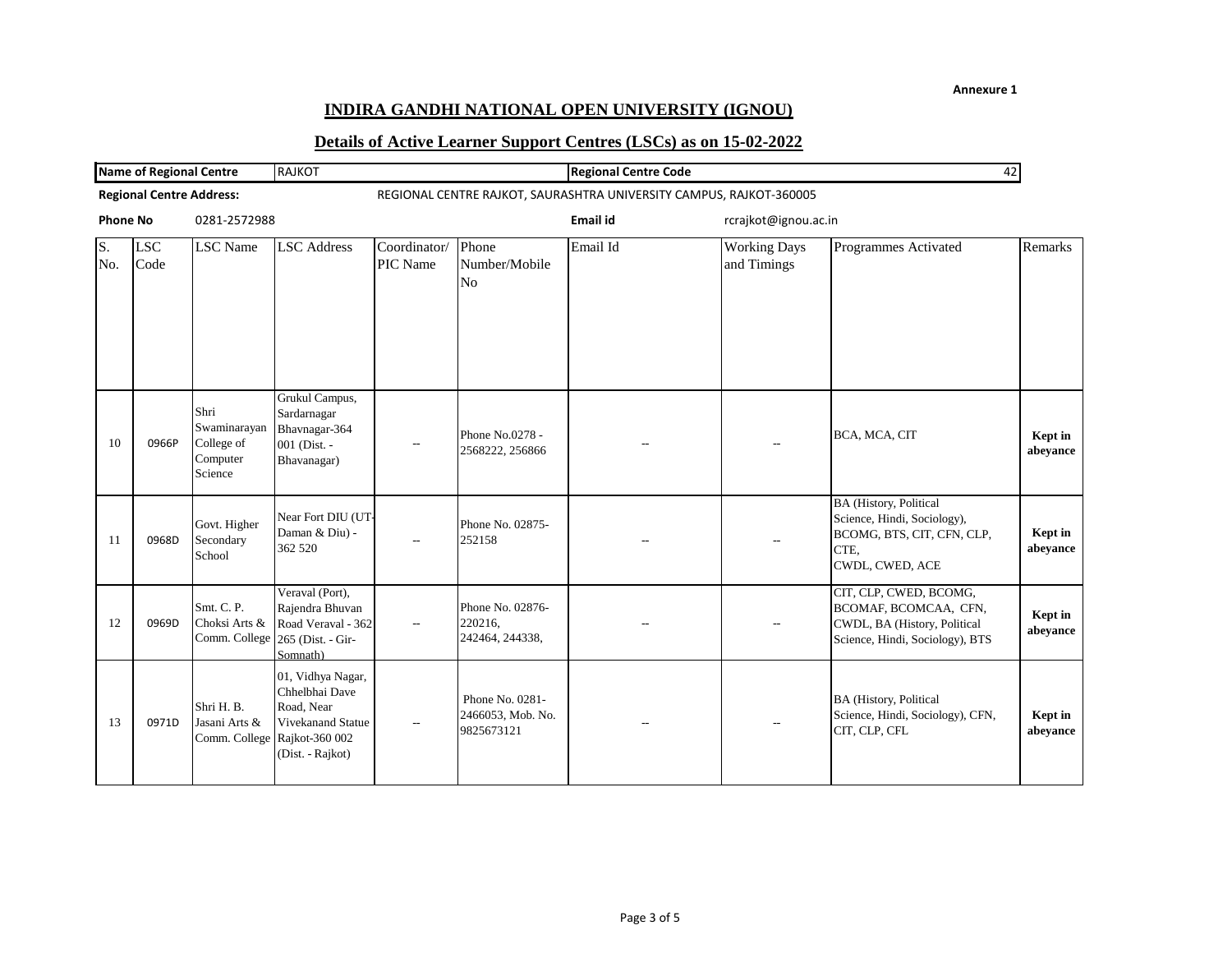## **INDIRA GANDHI NATIONAL OPEN UNIVERSITY (IGNOU)**

| <b>Name of Regional Centre</b> |                                 |                                                           | <b>RAJKOT</b><br><b>Regional Centre Code</b><br>42                                                                         |                          |                                                    |                                                                     |                                    |                                                                                                                       |                     |
|--------------------------------|---------------------------------|-----------------------------------------------------------|----------------------------------------------------------------------------------------------------------------------------|--------------------------|----------------------------------------------------|---------------------------------------------------------------------|------------------------------------|-----------------------------------------------------------------------------------------------------------------------|---------------------|
|                                | <b>Regional Centre Address:</b> |                                                           |                                                                                                                            |                          |                                                    | REGIONAL CENTRE RAJKOT, SAURASHTRA UNIVERSITY CAMPUS, RAJKOT-360005 |                                    |                                                                                                                       |                     |
| <b>Phone No</b>                |                                 | 0281-2572988                                              |                                                                                                                            |                          |                                                    | Email id                                                            | rcrajkot@ignou.ac.in               |                                                                                                                       |                     |
| S.<br>No.                      | <b>LSC</b><br>Code              | <b>LSC</b> Name                                           | <b>LSC</b> Address                                                                                                         | Coordinator/<br>PIC Name | Phone<br>Number/Mobile<br>No                       | Email Id                                                            | <b>Working Days</b><br>and Timings | Programmes Activated                                                                                                  | Remarks             |
| 10                             | 0966P                           | Shri<br>Swaminarayan<br>College of<br>Computer<br>Science | Grukul Campus,<br>Sardarnagar<br>Bhavnagar-364<br>001 (Dist. -<br>Bhavanagar)                                              | $\overline{\phantom{a}}$ | Phone No.0278 -<br>2568222, 256866                 |                                                                     |                                    | BCA, MCA, CIT                                                                                                         | Kept in<br>abeyance |
| 11                             | 0968D                           | Govt. Higher<br>Secondary<br>School                       | Near Fort DIU (UT-<br>Daman & Diu) -<br>362 520                                                                            |                          | Phone No. 02875-<br>252158                         |                                                                     | $\overline{a}$                     | <b>BA</b> (History, Political<br>Science, Hindi, Sociology),<br>BCOMG, BTS, CIT, CFN, CLP,<br>CTE,<br>CWDL, CWED, ACE | Kept in<br>abeyance |
| 12                             | 0969D                           | Smt. C. P.<br>Choksi Arts &                               | Veraval (Port),<br>Rajendra Bhuvan<br>Road Veraval - 362<br>Comm. College 265 (Dist. - Gir-<br>Somnath)                    |                          | Phone No. 02876-<br>220216,<br>242464, 244338,     |                                                                     |                                    | CIT, CLP, CWED, BCOMG,<br>BCOMAF, BCOMCAA, CFN,<br>CWDL, BA (History, Political<br>Science, Hindi, Sociology), BTS    | Kept in<br>abeyance |
| 13                             | 0971D                           | Shri H. B.<br>Jasani Arts &                               | 01, Vidhya Nagar,<br>Chhelbhai Dave<br>Road, Near<br>Vivekanand Statue<br>Comm. College Rajkot-360 002<br>(Dist. - Rajkot) |                          | Phone No. 0281-<br>2466053, Mob. No.<br>9825673121 |                                                                     |                                    | <b>BA</b> (History, Political<br>Science, Hindi, Sociology), CFN,<br>CIT, CLP, CFL                                    | Kept in<br>abeyance |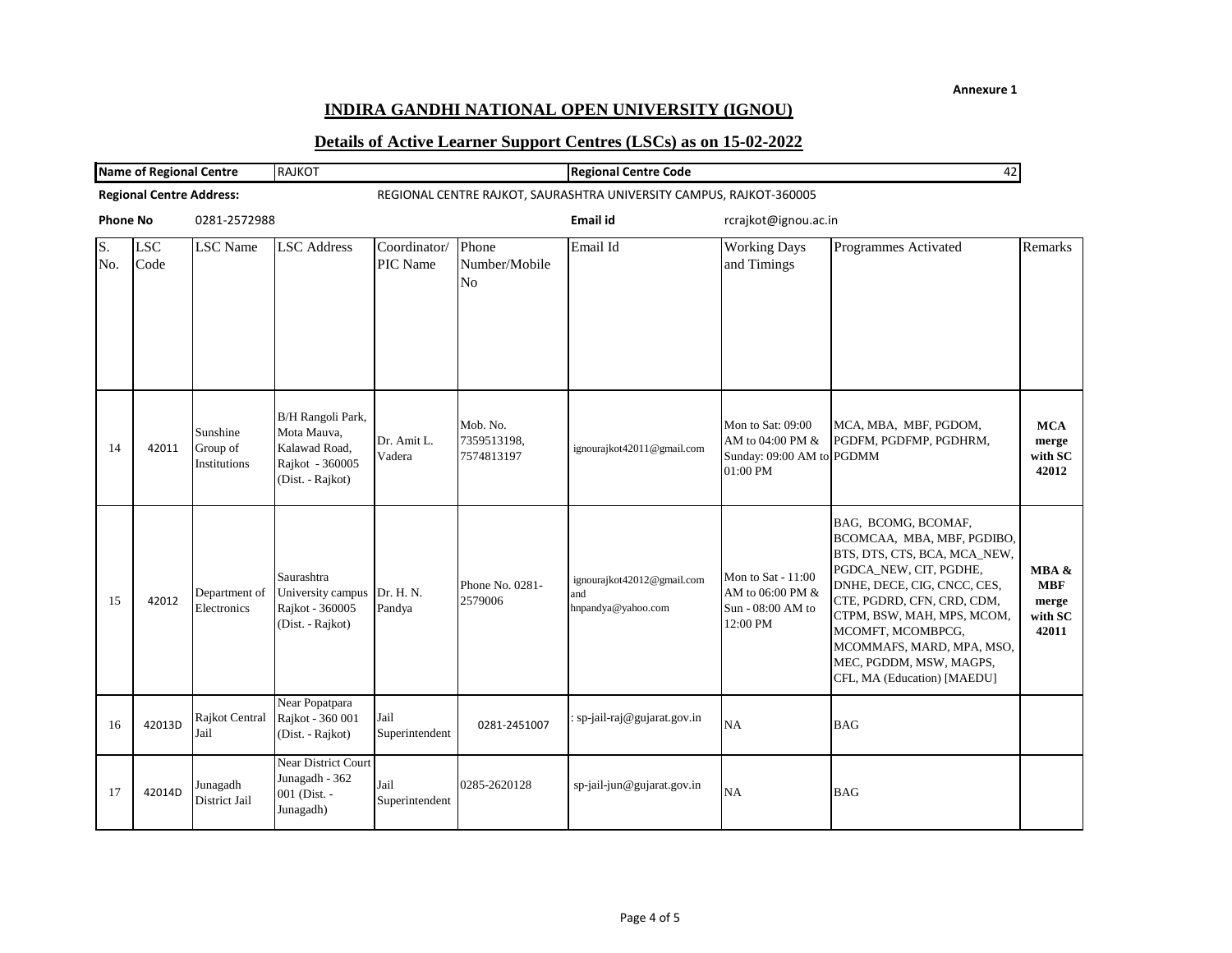## **INDIRA GANDHI NATIONAL OPEN UNIVERSITY (IGNOU)**

| <b>Name of Regional Centre</b> |                                 | <b>RAJKOT</b>                               |                                                                                          |                          | <b>Regional Centre Code</b><br>42        |                                                         |                                                                                   |                                                                                                                                                                                                                                                                                                                    |                                                  |
|--------------------------------|---------------------------------|---------------------------------------------|------------------------------------------------------------------------------------------|--------------------------|------------------------------------------|---------------------------------------------------------|-----------------------------------------------------------------------------------|--------------------------------------------------------------------------------------------------------------------------------------------------------------------------------------------------------------------------------------------------------------------------------------------------------------------|--------------------------------------------------|
|                                | <b>Regional Centre Address:</b> |                                             | REGIONAL CENTRE RAJKOT, SAURASHTRA UNIVERSITY CAMPUS, RAJKOT-360005                      |                          |                                          |                                                         |                                                                                   |                                                                                                                                                                                                                                                                                                                    |                                                  |
| <b>Phone No</b>                |                                 | 0281-2572988                                |                                                                                          |                          | Email id                                 |                                                         | rcrajkot@ignou.ac.in                                                              |                                                                                                                                                                                                                                                                                                                    |                                                  |
| S.<br>No.                      | <b>LSC</b><br>Code              | <b>LSC</b> Name                             | <b>LSC</b> Address                                                                       | Coordinator/<br>PIC Name | Phone<br>Number/Mobile<br>N <sub>0</sub> | Email Id                                                | <b>Working Days</b><br>and Timings                                                | Programmes Activated                                                                                                                                                                                                                                                                                               | Remarks                                          |
| 14                             | 42011                           | Sunshine<br>Group of<br><b>Institutions</b> | B/H Rangoli Park,<br>Mota Mauva,<br>Kalawad Road,<br>Rajkot - 360005<br>(Dist. - Rajkot) | Dr. Amit L.<br>Vadera    | Mob. No.<br>7359513198,<br>7574813197    | ignourajkot42011@gmail.com                              | Mon to Sat: 09:00<br>AM to 04:00 PM $\&$<br>Sunday: 09:00 AM to PGDMM<br>01:00 PM | MCA, MBA, MBF, PGDOM,<br>PGDFM, PGDFMP, PGDHRM,                                                                                                                                                                                                                                                                    | <b>MCA</b><br>merge<br>with SC<br>42012          |
| 15                             | 42012                           | Department of<br>Electronics                | Saurashtra<br>University campus Dr. H. N.<br>Rajkot - 360005<br>(Dist. - Rajkot)         | Pandya                   | Phone No. 0281-<br>2579006               | ignourajkot42012@gmail.com<br>and<br>hnpandya@yahoo.com | Mon to Sat - 11:00<br>AM to 06:00 PM &<br>Sun - 08:00 AM to<br>12:00 PM           | BAG, BCOMG, BCOMAF,<br>BCOMCAA, MBA, MBF, PGDIBO,<br>BTS, DTS, CTS, BCA, MCA_NEW,<br>PGDCA_NEW, CIT, PGDHE,<br>DNHE, DECE, CIG, CNCC, CES,<br>CTE, PGDRD, CFN, CRD, CDM,<br>CTPM, BSW, MAH, MPS, MCOM,<br>MCOMFT, MCOMBPCG,<br>MCOMMAFS, MARD, MPA, MSO,<br>MEC, PGDDM, MSW, MAGPS,<br>CFL, MA (Education) [MAEDU] | MBA &<br><b>MBF</b><br>merge<br>with SC<br>42011 |
| 16                             | 42013D                          | Rajkot Central<br>Jail                      | Near Popatpara<br>Rajkot - 360 001<br>(Dist. - Rajkot)                                   | Jail<br>Superintendent   | 0281-2451007                             | sp-jail-raj@gujarat.gov.in                              | <b>NA</b>                                                                         | <b>BAG</b>                                                                                                                                                                                                                                                                                                         |                                                  |
| 17                             | 42014D                          | Junagadh<br>District Jail                   | Near District Court<br>Junagadh - 362<br>001 (Dist. -<br>Junagadh)                       | Jail<br>Superintendent   | 0285-2620128                             | sp-jail-jun@gujarat.gov.in                              | NA                                                                                | <b>BAG</b>                                                                                                                                                                                                                                                                                                         |                                                  |